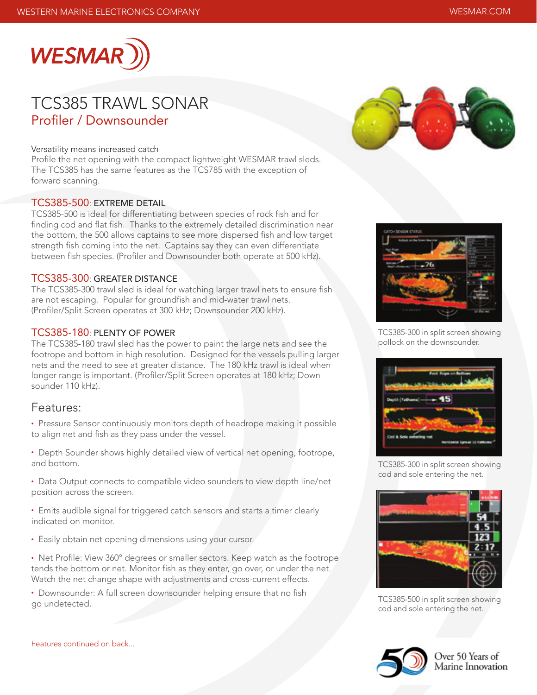

# Profiler / Downsounder TCS385 TRAWL SONAR

#### Versatility means increased catch

Profile the net opening with the compact lightweight WESMAR trawl sleds. The TCS385 has the same features as the TCS785 with the exception of forward scanning.

### TCS385-500: EXTREME DETAIL

TCS385-500 is ideal for differentiating between species of rock fish and for finding cod and flat fish. Thanks to the extremely detailed discrimination near the bottom, the 500 allows captains to see more dispersed fish and low target strength fish coming into the net. Captains say they can even differentiate between fish species. (Profiler and Downsounder both operate at 500 kHz).

### TCS385-300: GREATER DISTANCE

The TCS385-300 trawl sled is ideal for watching larger trawl nets to ensure fish are not escaping. Popular for groundfish and mid-water trawl nets. (Profiler/Split Screen operates at 300 kHz; Downsounder 200 kHz).

### TCS385-180: PLENTY OF POWER

The TCS385-180 trawl sled has the power to paint the large nets and see the footrope and bottom in high resolution. Designed for the vessels pulling larger nets and the need to see at greater distance. The 180 kHz trawl is ideal when longer range is important. (Profiler/Split Screen operates at 180 kHz; Downsounder 110 kHz).

### Features:

• Pressure Sensor continuously monitors depth of headrope making it possible to align net and fish as they pass under the vessel.

- Depth Sounder shows highly detailed view of vertical net opening, footrope, and bottom.
- Data Output connects to compatible video sounders to view depth line/net position across the screen.
- Emits audible signal for triggered catch sensors and starts a timer clearly indicated on monitor.
- Easily obtain net opening dimensions using your cursor.
- Net Profile: View 360° degrees or smaller sectors. Keep watch as the footrope tends the bottom or net. Monitor fish as they enter, go over, or under the net. Watch the net change shape with adjustments and cross-current effects.
- Downsounder: A full screen downsounder helping ensure that no fish go undetected.





TCS385-300 in split screen showing pollock on the downsounder.



TCS385-300 in split screen showing cod and sole entering the net.



TCS385-500 in split screen showing cod and sole entering the net.



Over 50 Years of Marine Innovation

Features continued on back...